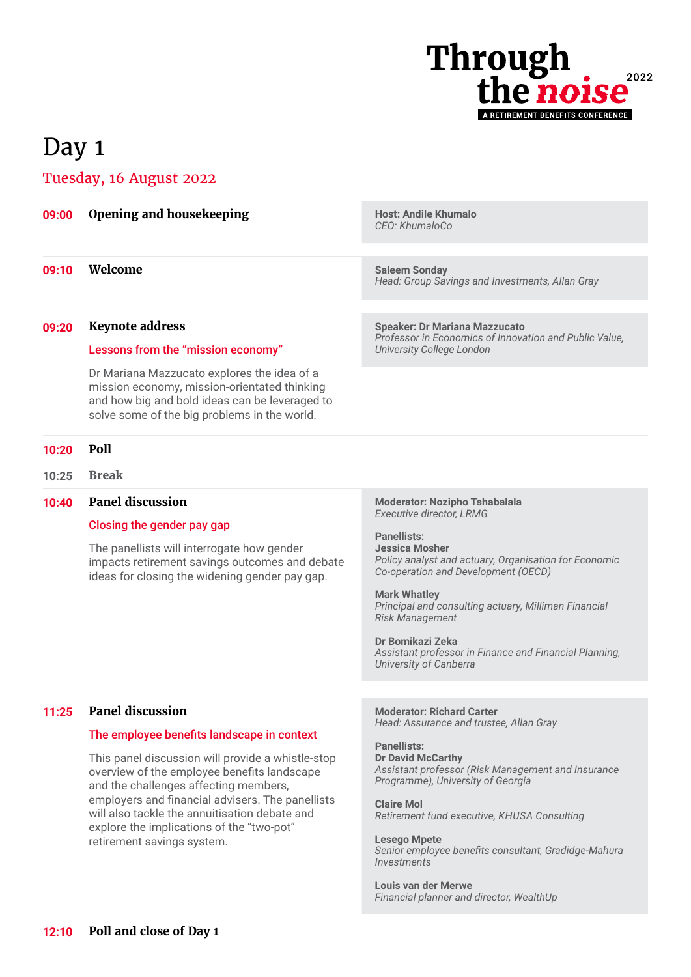

## Day 1

## Tuesday, 16 August 2022

| 09:00 | <b>Opening and housekeeping</b>                                                                                                                                                                                                                                                                                           | <b>Host: Andile Khumalo</b><br>CEO: KhumaloCo                                                                                                                                                                                                                                                              |
|-------|---------------------------------------------------------------------------------------------------------------------------------------------------------------------------------------------------------------------------------------------------------------------------------------------------------------------------|------------------------------------------------------------------------------------------------------------------------------------------------------------------------------------------------------------------------------------------------------------------------------------------------------------|
| 09:10 | Welcome                                                                                                                                                                                                                                                                                                                   | <b>Saleem Sonday</b><br>Head: Group Savings and Investments, Allan Gray                                                                                                                                                                                                                                    |
| 09:20 | <b>Keynote address</b>                                                                                                                                                                                                                                                                                                    | <b>Speaker: Dr Mariana Mazzucato</b>                                                                                                                                                                                                                                                                       |
|       | Lessons from the "mission economy"                                                                                                                                                                                                                                                                                        | Professor in Economics of Innovation and Public Value,<br><b>University College London</b>                                                                                                                                                                                                                 |
|       | Dr Mariana Mazzucato explores the idea of a<br>mission economy, mission-orientated thinking<br>and how big and bold ideas can be leveraged to<br>solve some of the big problems in the world.                                                                                                                             |                                                                                                                                                                                                                                                                                                            |
| 10:20 | Poll                                                                                                                                                                                                                                                                                                                      |                                                                                                                                                                                                                                                                                                            |
| 10:25 | <b>Break</b>                                                                                                                                                                                                                                                                                                              |                                                                                                                                                                                                                                                                                                            |
| 10:40 | <b>Panel discussion</b>                                                                                                                                                                                                                                                                                                   | <b>Moderator: Nozipho Tshabalala</b><br><b>Executive director, LRMG</b>                                                                                                                                                                                                                                    |
|       | Closing the gender pay gap                                                                                                                                                                                                                                                                                                | <b>Panellists:</b>                                                                                                                                                                                                                                                                                         |
|       | The panellists will interrogate how gender<br>impacts retirement savings outcomes and debate<br>ideas for closing the widening gender pay gap.                                                                                                                                                                            | <b>Jessica Mosher</b><br>Policy analyst and actuary, Organisation for Economic<br>Co-operation and Development (OECD)<br><b>Mark Whatley</b><br>Principal and consulting actuary, Milliman Financial<br><b>Risk Management</b>                                                                             |
|       |                                                                                                                                                                                                                                                                                                                           | Dr Bomikazi Zeka                                                                                                                                                                                                                                                                                           |
|       |                                                                                                                                                                                                                                                                                                                           | Assistant professor in Finance and Financial Planning,<br>University of Canberra                                                                                                                                                                                                                           |
|       |                                                                                                                                                                                                                                                                                                                           |                                                                                                                                                                                                                                                                                                            |
| 11:25 | <b>Panel discussion</b>                                                                                                                                                                                                                                                                                                   | <b>Moderator: Richard Carter</b><br>Head: Assurance and trustee, Allan Gray                                                                                                                                                                                                                                |
|       | The employee benefits landscape in context                                                                                                                                                                                                                                                                                | <b>Panellists:</b>                                                                                                                                                                                                                                                                                         |
|       | This panel discussion will provide a whistle-stop<br>overview of the employee benefits landscape<br>and the challenges affecting members,<br>employers and financial advisers. The panellists<br>will also tackle the annuitisation debate and<br>explore the implications of the "two-pot"<br>retirement savings system. | <b>Dr David McCarthy</b><br>Assistant professor (Risk Management and Insurance<br>Programme), University of Georgia<br><b>Claire Mol</b><br>Retirement fund executive, KHUSA Consulting<br><b>Lesego Mpete</b><br>Senior employee benefits consultant, Gradidge-Mahura<br><i><u><b>Investments</b></u></i> |